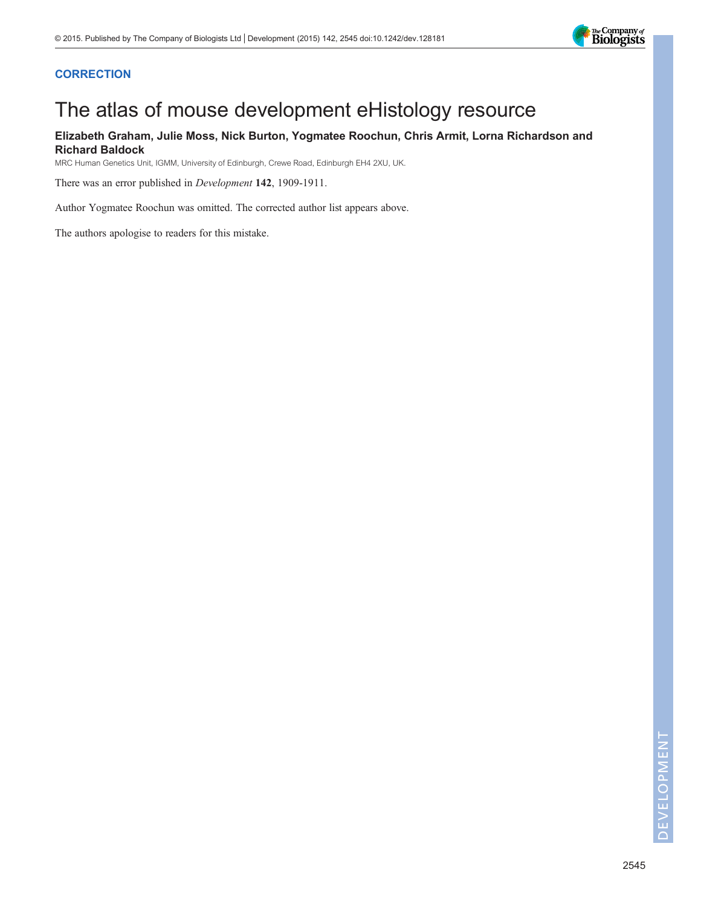

## **CORRECTION**

# The atlas of mouse development eHistology resource

## Elizabeth Graham, Julie Moss, Nick Burton, Yogmatee Roochun, Chris Armit, Lorna Richardson and Richard Baldock

MRC Human Genetics Unit, IGMM, University of Edinburgh, Crewe Road, Edinburgh EH4 2XU, UK.

There was an error published in Development 142, 1909-1911.

Author Yogmatee Roochun was omitted. The corrected author list appears above.

The authors apologise to readers for this mistake.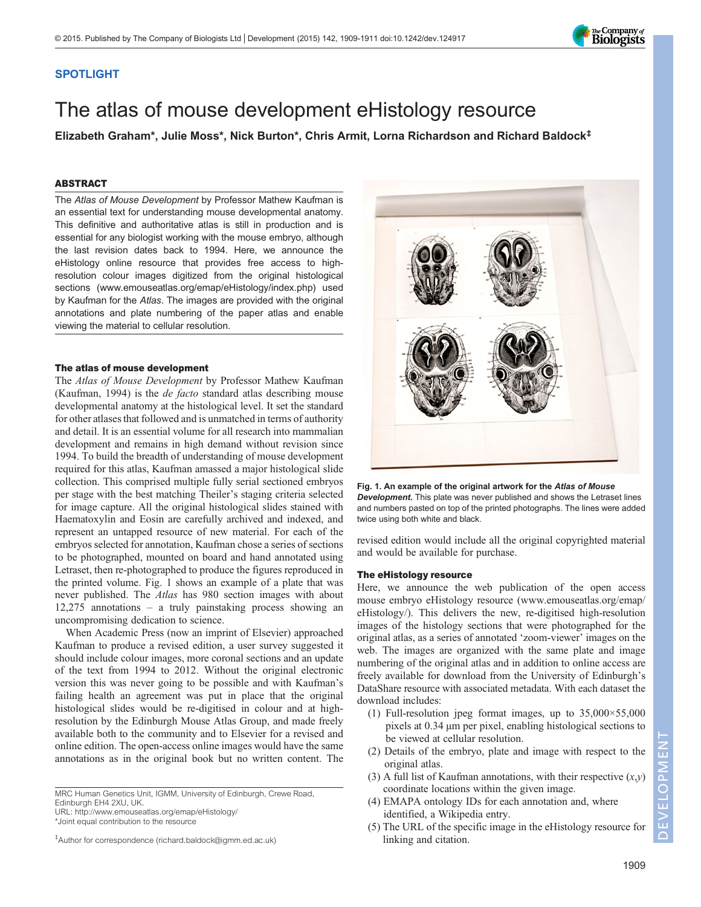### SPOTLIGHT

## The atlas of mouse development eHistology resource

Elizabeth Graham\*, Julie Moss\*, Nick Burton\*, Chris Armit, Lorna Richardson and Richard Baldock‡

#### ABSTRACT

The Atlas of Mouse Development by Professor Mathew Kaufman is an essential text for understanding mouse developmental anatomy. This definitive and authoritative atlas is still in production and is essential for any biologist working with the mouse embryo, although the last revision dates back to 1994. Here, we announce the eHistology online resource that provides free access to highresolution colour images digitized from the original histological sections (www.emouseatlas.org/emap/eHistology/index.php) used by Kaufman for the Atlas. The images are provided with the original annotations and plate numbering of the paper atlas and enable viewing the material to cellular resolution.

#### The atlas of mouse development

The Atlas of Mouse Development by Professor Mathew Kaufman [\(Kaufman, 1994](#page-3-0)) is the de facto standard atlas describing mouse developmental anatomy at the histological level. It set the standard for other atlases that followed and is unmatched in terms of authority and detail. It is an essential volume for all research into mammalian development and remains in high demand without revision since 1994. To build the breadth of understanding of mouse development required for this atlas, Kaufman amassed a major histological slide collection. This comprised multiple fully serial sectioned embryos per stage with the best matching Theiler's staging criteria selected for image capture. All the original histological slides stained with Haematoxylin and Eosin are carefully archived and indexed, and represent an untapped resource of new material. For each of the embryos selected for annotation, Kaufman chose a series of sections to be photographed, mounted on board and hand annotated using Letraset, then re-photographed to produce the figures reproduced in the printed volume. Fig. 1 shows an example of a plate that was never published. The Atlas has 980 section images with about 12,275 annotations – a truly painstaking process showing an uncompromising dedication to science.

When Academic Press (now an imprint of Elsevier) approached Kaufman to produce a revised edition, a user survey suggested it should include colour images, more coronal sections and an update of the text from 1994 to 2012. Without the original electronic version this was never going to be possible and with Kaufman's failing health an agreement was put in place that the original histological slides would be re-digitised in colour and at highresolution by the Edinburgh Mouse Atlas Group, and made freely available both to the community and to Elsevier for a revised and online edition. The open-access online images would have the same annotations as in the original book but no written content. The

‡ Author for correspondence (richard.baldock@igmm.ed.ac.uk)

Fig. 1. An example of the original artwork for the Atlas of Mouse Development. This plate was never published and shows the Letraset lines and numbers pasted on top of the printed photographs. The lines were added twice using both white and black.

revised edition would include all the original copyrighted material and would be available for purchase.

#### The eHistology resource

Here, we announce the web publication of the open access mouse embryo eHistology resource ([www.emouseatlas.org/emap/](http://www.emouseatlas.org/emap/eHistology/) [eHistology/\)](http://www.emouseatlas.org/emap/eHistology/). This delivers the new, re-digitised high-resolution images of the histology sections that were photographed for the original atlas, as a series of annotated 'zoom-viewer' images on the web. The images are organized with the same plate and image numbering of the original atlas and in addition to online access are freely available for download from the University of Edinburgh's DataShare resource with associated metadata. With each dataset the download includes:

- (1) Full-resolution jpeg format images, up to 35,000×55,000 pixels at 0.34 µm per pixel, enabling histological sections to be viewed at cellular resolution.
- (2) Details of the embryo, plate and image with respect to the original atlas.
- (3) A full list of Kaufman annotations, with their respective  $(x,y)$ coordinate locations within the given image.
- (4) EMAPA ontology IDs for each annotation and, where identified, a Wikipedia entry.
- (5) The URL of the specific image in the eHistology resource for linking and citation.

1909





MRC Human Genetics Unit, IGMM, University of Edinburgh, Crewe Road, Edinburgh EH4 2XU, UK.

URL:<http://www.emouseatlas.org/emap/eHistology/> \*Joint equal contribution to the resource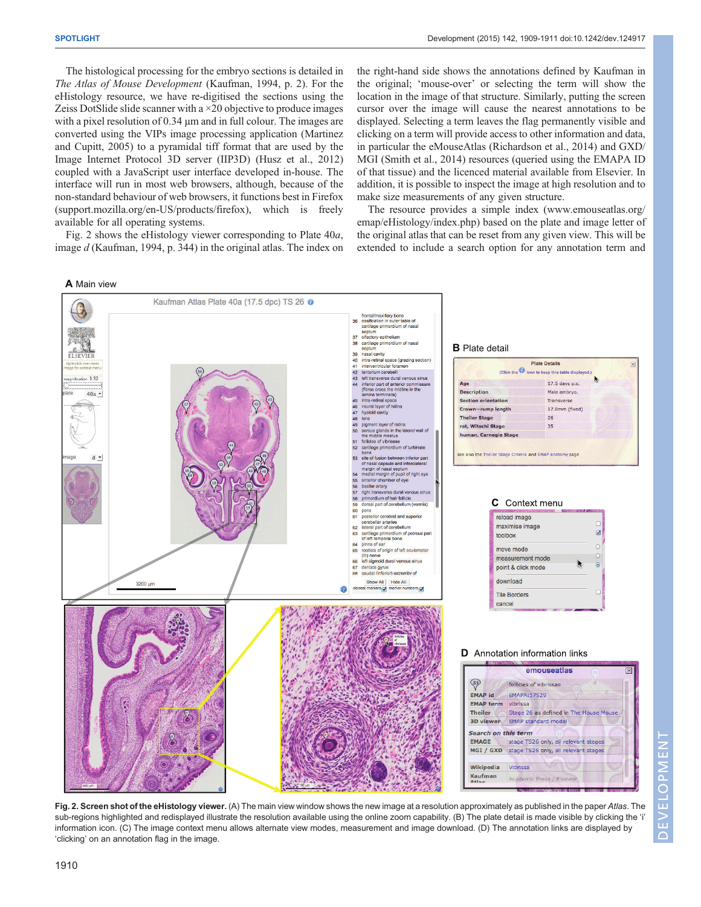The histological processing for the embryo sections is detailed in The Atlas of Mouse Development [\(Kaufman, 1994,](#page-3-0) p. 2). For the eHistology resource, we have re-digitised the sections using the Zeiss DotSlide slide scanner with a  $\times$ 20 objective to produce images with a pixel resolution of 0.34  $\mu$ m and in full colour. The images are converted using the VIPs image processing application [\(Martinez](#page-3-0) [and Cupitt, 2005\)](#page-3-0) to a pyramidal tiff format that are used by the Image Internet Protocol 3D server (IIP3D) [\(Husz et al., 2012\)](#page-3-0) coupled with a JavaScript user interface developed in-house. The interface will run in most web browsers, although, because of the non-standard behaviour of web browsers, it functions best in Firefox (support.mozilla.org/en-US/products/firefox), which is freely available for all operating systems.

Fig. 2 shows the eHistology viewer corresponding to Plate 40a, image d [\(Kaufman, 1994,](#page-3-0) p. 344) in the original atlas. The index on

**A** Main view

the right-hand side shows the annotations defined by Kaufman in the original; 'mouse-over' or selecting the term will show the location in the image of that structure. Similarly, putting the screen cursor over the image will cause the nearest annotations to be displayed. Selecting a term leaves the flag permanently visible and clicking on a term will provide access to other information and data, in particular the eMouseAtlas [\(Richardson et al., 2014\)](#page-3-0) and GXD/ MGI [\(Smith et al., 2014\)](#page-3-0) resources (queried using the EMAPA ID of that tissue) and the licenced material available from Elsevier. In addition, it is possible to inspect the image at high resolution and to make size measurements of any given structure.

The resource provides a simple index ([www.emouseatlas.org/](http://www.emouseatlas.org/emap/eHistology/index.php) [emap/eHistology/index.php](http://www.emouseatlas.org/emap/eHistology/index.php)) based on the plate and image letter of the original atlas that can be reset from any given view. This will be extended to include a search option for any annotation term and



Fig. 2. Screen shot of the eHistology viewer. (A) The main view window shows the new image at a resolution approximately as published in the paper Atlas. The sub-regions highlighted and redisplayed illustrate the resolution available using the online zoom capability. (B) The plate detail is made visible by clicking the 'i' information icon. (C) The image context menu allows alternate view modes, measurement and image download. (D) The annotation links are displayed by 'clicking' on an annotation flag in the image.